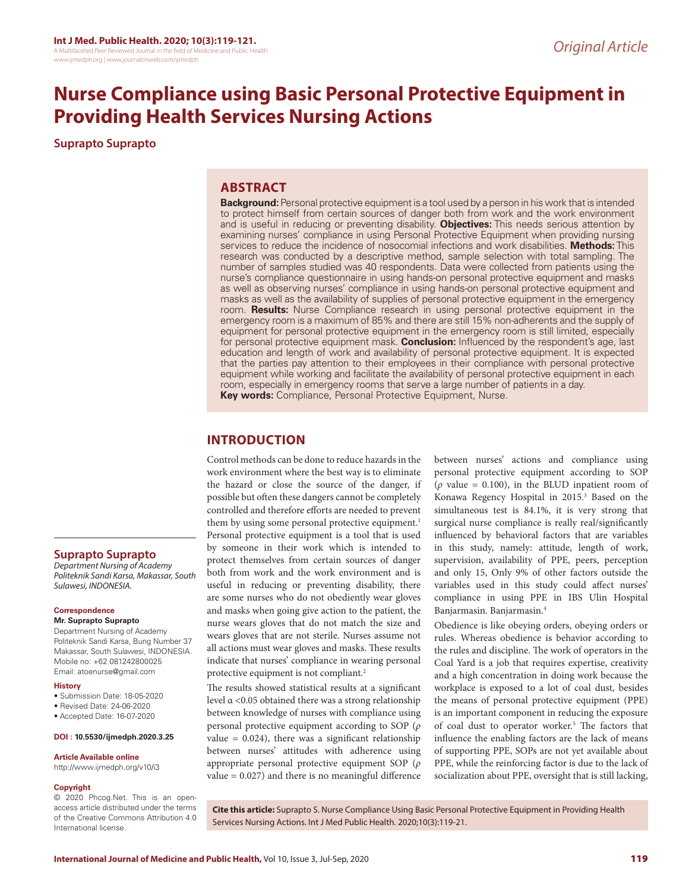# **Nurse Compliance using Basic Personal Protective Equipment in Providing Health Services Nursing Actions**

**Suprapto Suprapto**

# **ABSTRACT**

**Background:** Personal protective equipment is a tool used by a person in his work that is intended to protect himself from certain sources of danger both from work and the work environment and is useful in reducing or preventing disability. **Objectives:** This needs serious attention by examining nurses' compliance in using Personal Protective Equipment when providing nursing services to reduce the incidence of nosocomial infections and work disabilities. **Methods:** This research was conducted by a descriptive method, sample selection with total sampling. The number of samples studied was 40 respondents. Data were collected from patients using the nurse's compliance questionnaire in using hands-on personal protective equipment and masks as well as observing nurses' compliance in using hands-on personal protective equipment and masks as well as the availability of supplies of personal protective equipment in the emergency room. **Results:** Nurse Compliance research in using personal protective equipment in the emergency room is a maximum of 85% and there are still 15% non-adherents and the supply of equipment for personal protective equipment in the emergency room is still limited, especially for personal protective equipment mask. **Conclusion:** Influenced by the respondent's age, last education and length of work and availability of personal protective equipment. It is expected that the parties pay attention to their employees in their compliance with personal protective equipment while working and facilitate the availability of personal protective equipment in each room, especially in emergency rooms that serve a large number of patients in a day. **Key words:** Compliance, Personal Protective Equipment, Nurse.

# **INTRODUCTION**

Control methods can be done to reduce hazards in the work environment where the best way is to eliminate the hazard or close the source of the danger, if possible but often these dangers cannot be completely controlled and therefore efforts are needed to prevent them by using some personal protective equipment.<sup>1</sup> Personal protective equipment is a tool that is used by someone in their work which is intended to protect themselves from certain sources of danger both from work and the work environment and is useful in reducing or preventing disability, there are some nurses who do not obediently wear gloves and masks when going give action to the patient, the nurse wears gloves that do not match the size and wears gloves that are not sterile. Nurses assume not all actions must wear gloves and masks. These results indicate that nurses' compliance in wearing personal protective equipment is not compliant.<sup>2</sup>

The results showed statistical results at a significant level α <0.05 obtained there was a strong relationship between knowledge of nurses with compliance using personal protective equipment according to SOP (*ρ* value  $= 0.024$ ), there was a significant relationship between nurses' attitudes with adherence using appropriate personal protective equipment SOP (*ρ* value = 0.027) and there is no meaningful difference between nurses' actions and compliance using personal protective equipment according to SOP ( $\rho$  value = 0.100), in the BLUD inpatient room of Konawa Regency Hospital in 2015.<sup>3</sup> Based on the simultaneous test is 84.1%, it is very strong that surgical nurse compliance is really real/significantly influenced by behavioral factors that are variables in this study, namely: attitude, length of work, supervision, availability of PPE, peers, perception and only 15, Only 9% of other factors outside the variables used in this study could affect nurses' compliance in using PPE in IBS Ulin Hospital Banjarmasin. Banjarmasin.4

Obedience is like obeying orders, obeying orders or rules. Whereas obedience is behavior according to the rules and discipline. The work of operators in the Coal Yard is a job that requires expertise, creativity and a high concentration in doing work because the workplace is exposed to a lot of coal dust, besides the means of personal protective equipment (PPE) is an important component in reducing the exposure of coal dust to operator worker.<sup>5</sup> The factors that influence the enabling factors are the lack of means of supporting PPE, SOPs are not yet available about PPE, while the reinforcing factor is due to the lack of socialization about PPE, oversight that is still lacking,

## **Suprapto Suprapto**

*Department Nursing of Academy Politeknik Sandi Karsa, Makassar, South Sulawesi, INDONESIA.*

#### **Correspondence**

**Mr. Suprapto Suprapto**

Department Nursing of Academy Politeknik Sandi Karsa, Bung Number 37 Makassar, South Sulawesi, INDONESIA. Mobile no: +62 081242800025 Email: atoenurse@gmail.com

#### **History**

- Submission Date: 18-05-2020
- Revised Date: 24-06-2020
- Accepted Date: 16-07-2020

#### **DOI : 10.5530/ijmedph.2020.3.25**

#### **Article Available online**

http://www.ijmedph.org/v10/i3

#### **Copyright**

© 2020 Phcog.Net. This is an openaccess article distributed under the terms of the Creative Commons Attribution 4.0 International license.

**Cite this article:** Suprapto S. Nurse Compliance Using Basic Personal Protective Equipment in Providing Health Services Nursing Actions. Int J Med Public Health. 2020;10(3):119-21.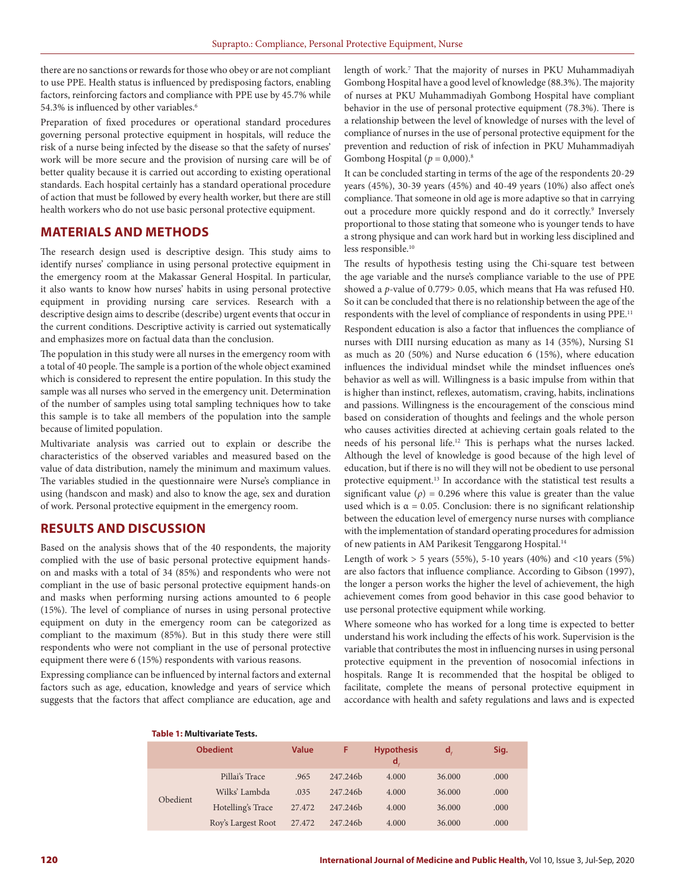there are no sanctions or rewards for those who obey or are not compliant to use PPE. Health status is influenced by predisposing factors, enabling factors, reinforcing factors and compliance with PPE use by 45.7% while 54.3% is influenced by other variables.<sup>6</sup>

Preparation of fixed procedures or operational standard procedures governing personal protective equipment in hospitals, will reduce the risk of a nurse being infected by the disease so that the safety of nurses' work will be more secure and the provision of nursing care will be of better quality because it is carried out according to existing operational standards. Each hospital certainly has a standard operational procedure of action that must be followed by every health worker, but there are still health workers who do not use basic personal protective equipment.

# **MATERIALS AND METHODS**

The research design used is descriptive design. This study aims to identify nurses' compliance in using personal protective equipment in the emergency room at the Makassar General Hospital. In particular, it also wants to know how nurses' habits in using personal protective equipment in providing nursing care services. Research with a descriptive design aims to describe (describe) urgent events that occur in the current conditions. Descriptive activity is carried out systematically and emphasizes more on factual data than the conclusion.

The population in this study were all nurses in the emergency room with a total of 40 people. The sample is a portion of the whole object examined which is considered to represent the entire population. In this study the sample was all nurses who served in the emergency unit. Determination of the number of samples using total sampling techniques how to take this sample is to take all members of the population into the sample because of limited population.

Multivariate analysis was carried out to explain or describe the characteristics of the observed variables and measured based on the value of data distribution, namely the minimum and maximum values. The variables studied in the questionnaire were Nurse's compliance in using (handscon and mask) and also to know the age, sex and duration of work. Personal protective equipment in the emergency room.

# **RESULTS AND DISCUSSION**

Based on the analysis shows that of the 40 respondents, the majority complied with the use of basic personal protective equipment handson and masks with a total of 34 (85%) and respondents who were not compliant in the use of basic personal protective equipment hands-on and masks when performing nursing actions amounted to 6 people (15%). The level of compliance of nurses in using personal protective equipment on duty in the emergency room can be categorized as compliant to the maximum (85%). But in this study there were still respondents who were not compliant in the use of personal protective equipment there were 6 (15%) respondents with various reasons.

Expressing compliance can be influenced by internal factors and external factors such as age, education, knowledge and years of service which suggests that the factors that affect compliance are education, age and length of work.7 That the majority of nurses in PKU Muhammadiyah Gombong Hospital have a good level of knowledge (88.3%). The majority of nurses at PKU Muhammadiyah Gombong Hospital have compliant behavior in the use of personal protective equipment (78.3%). There is a relationship between the level of knowledge of nurses with the level of compliance of nurses in the use of personal protective equipment for the prevention and reduction of risk of infection in PKU Muhammadiyah Gombong Hospital ( $p = 0,000$ ).<sup>8</sup>

It can be concluded starting in terms of the age of the respondents 20-29 years (45%), 30-39 years (45%) and 40-49 years (10%) also affect one's compliance. That someone in old age is more adaptive so that in carrying out a procedure more quickly respond and do it correctly.<sup>9</sup> Inversely proportional to those stating that someone who is younger tends to have a strong physique and can work hard but in working less disciplined and less responsible.<sup>10</sup>

The results of hypothesis testing using the Chi-square test between the age variable and the nurse's compliance variable to the use of PPE showed a *p*-value of 0.779> 0.05, which means that Ha was refused H0. So it can be concluded that there is no relationship between the age of the respondents with the level of compliance of respondents in using PPE.11 Respondent education is also a factor that influences the compliance of

nurses with DIII nursing education as many as 14 (35%), Nursing S1 as much as 20 (50%) and Nurse education 6 (15%), where education influences the individual mindset while the mindset influences one's behavior as well as will. Willingness is a basic impulse from within that is higher than instinct, reflexes, automatism, craving, habits, inclinations and passions. Willingness is the encouragement of the conscious mind based on consideration of thoughts and feelings and the whole person who causes activities directed at achieving certain goals related to the needs of his personal life.12 This is perhaps what the nurses lacked. Although the level of knowledge is good because of the high level of education, but if there is no will they will not be obedient to use personal protective equipment.<sup>13</sup> In accordance with the statistical test results a significant value ( $\rho$ ) = 0.296 where this value is greater than the value used which is  $\alpha = 0.05$ . Conclusion: there is no significant relationship between the education level of emergency nurse nurses with compliance with the implementation of standard operating procedures for admission of new patients in AM Parikesit Tenggarong Hospital.<sup>14</sup>

Length of work  $> 5$  years (55%), 5-10 years (40%) and <10 years (5%) are also factors that influence compliance. According to Gibson (1997), the longer a person works the higher the level of achievement, the high achievement comes from good behavior in this case good behavior to use personal protective equipment while working.

Where someone who has worked for a long time is expected to better understand his work including the effects of his work. Supervision is the variable that contributes the most in influencing nurses in using personal protective equipment in the prevention of nosocomial infections in hospitals. Range It is recommended that the hospital be obliged to facilitate, complete the means of personal protective equipment in accordance with health and safety regulations and laws and is expected

| <b>Obedient</b> |                    | <b>Value</b> | F        | <b>Hypothesis</b><br>$\mathsf{d}_i$ | d,     | Sig. |
|-----------------|--------------------|--------------|----------|-------------------------------------|--------|------|
| Obedient        | Pillai's Trace     | .965         | 247.246b | 4.000                               | 36,000 | .000 |
|                 | Wilks' Lambda      | .035         | 247.246b | 4.000                               | 36,000 | .000 |
|                 | Hotelling's Trace  | 27,472       | 247.246b | 4.000                               | 36,000 | .000 |
|                 | Roy's Largest Root | 27.472       | 247.246b | 4.000                               | 36,000 | .000 |